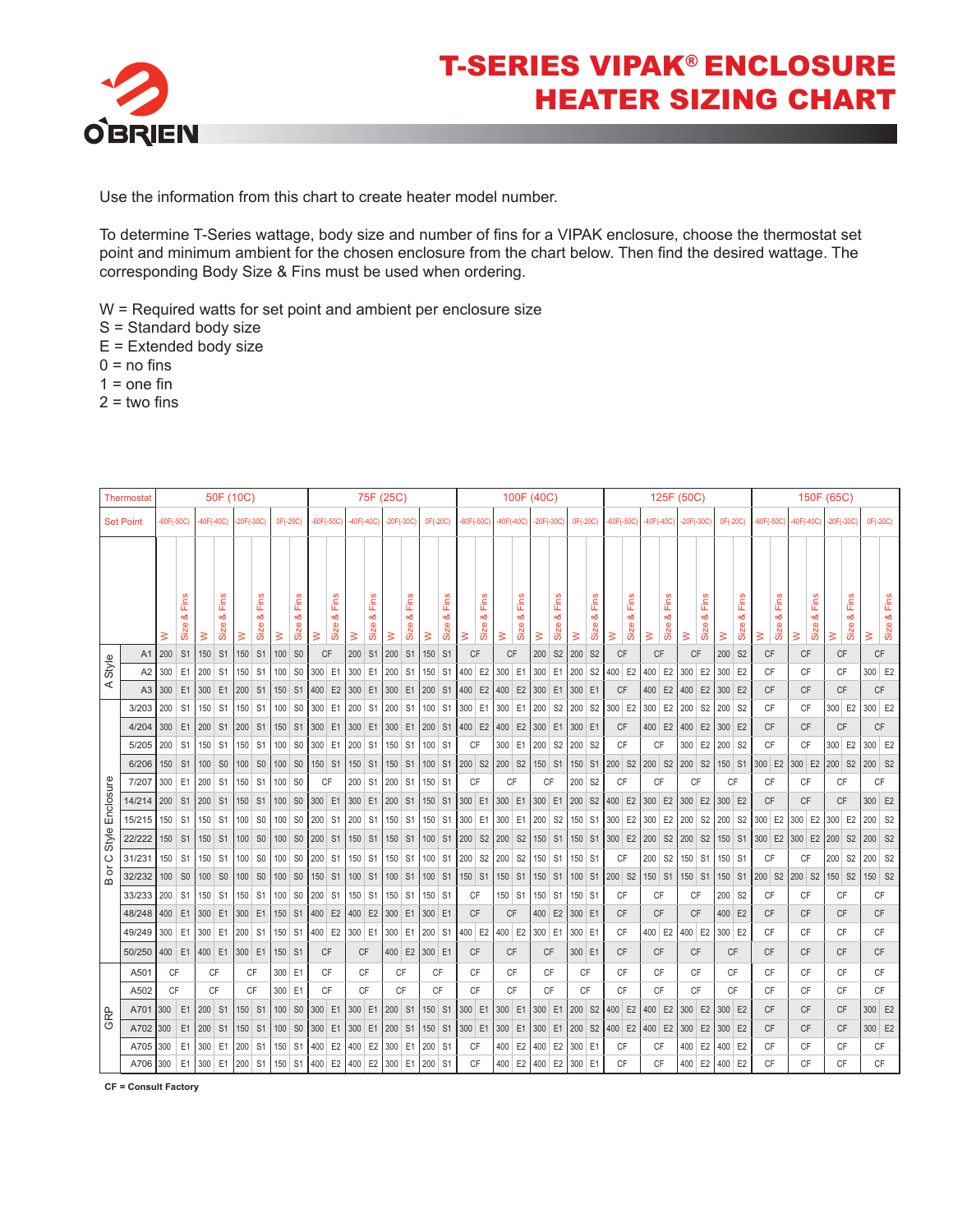

Use the information from this chart to create heater model number.

To determine T-Series wattage, body size and number of fins for a VIPAK enclosure, choose the thermostat set point and minimum ambient for the chosen enclosure from the chart below. Then find the desired wattage. The corresponding Body Size & Fins must be used when ordering.

W = Required watts for set point and ambient per enclosure size

- S = Standard body size
- E = Extended body size
- $0 = no$  fins
- $1 =$ one fin
- $2 =$  two fins

|                  | <b>Thermostat</b> | 50F (10C)                    |                   |             |                                 |              |                   | 75F (25C)      |                   |           |                              |             |                    | 100F (40C)       |                   |          |                   |               |                   | 125F (50C)   |                    |              |                    |                    |                    |                      |                              | 150F (65C)             |                    |                    |                    |           |                    |               |                   |                             |                    |                       |           |                   |
|------------------|-------------------|------------------------------|-------------------|-------------|---------------------------------|--------------|-------------------|----------------|-------------------|-----------|------------------------------|-------------|--------------------|------------------|-------------------|----------|-------------------|---------------|-------------------|--------------|--------------------|--------------|--------------------|--------------------|--------------------|----------------------|------------------------------|------------------------|--------------------|--------------------|--------------------|-----------|--------------------|---------------|-------------------|-----------------------------|--------------------|-----------------------|-----------|-------------------|
| <b>Set Point</b> |                   | $-60F(-50C)$                 |                   | $40F(-40C)$ |                                 | $-20F(-30C)$ |                   | 0F(-20C)       |                   |           | $-40F(-40C)$<br>$-60F(-50C)$ |             |                    | $-20F(-30C)$     |                   | 0F(-20C) |                   | $-60F(-50C)$  |                   | $-40F(-40C)$ |                    | $-20F(-30C)$ |                    | 0F(-20C)           |                    |                      | $-60F(-50C)$<br>$-40F(-40C)$ |                        |                    | $-20F(-30C)$       |                    | 0F(-20C)  |                    | $-60F(-50C)$  |                   |                             |                    | -40F(-40C) -20F(-30C) |           | 0F(-20C)          |
|                  |                   |                              |                   |             |                                 |              |                   |                |                   |           |                              |             |                    |                  |                   |          |                   |               |                   |              |                    |              |                    |                    |                    |                      |                              |                        |                    |                    |                    |           |                    |               |                   |                             |                    |                       |           |                   |
|                  |                   | ≳                            | Fins<br>∞<br>Size | $\geq$      | Fins<br>œ<br>Size               | $\geq$       | Fins<br>œ<br>Size | $\geq$         | Fins<br>œ<br>Size | ₹         | Fins<br>οð<br>Size           | $\geq$      | Fins<br>න්<br>Size | $\geq$           | Fins<br>œ<br>Size | $\geq$   | Fins<br>త<br>Size | $\geq$        | Fins<br>œ<br>Size | $\geq$       | Fins<br>න්<br>Size | $\geq$       | Fins<br>න්<br>Size | $\geq$             | Fins<br>න්<br>Size | $\geq$               | Fins<br>න්<br>Size           | $\geq$                 | Fins<br>œδ<br>Size | $\geq$             | Fins<br>œδ<br>Size | $\geq$    | Fins<br>οð<br>Size | ₹             | Fins<br>œ<br>Size | Fins<br>ಹ<br>Size<br>$\geq$ | ≷                  | Fins<br>œδ<br>Size    | $\geq$    | Fins<br>œ<br>Size |
| A1               |                   | 150<br>S <sub>1</sub><br>200 |                   | <b>S1</b>   | 100 SO<br>150<br>S <sub>1</sub> |              |                   | <b>CF</b>      |                   | 200       |                              | S1 200      |                    | S1   150   S1    |                   | CF       |                   | CF            |                   | 200          | S <sub>2</sub>     | 200          | S <sub>2</sub>     | CF                 |                    | CF                   |                              | CF                     |                    | 200                | S <sub>2</sub>     | <b>CF</b> |                    | <b>CF</b>     |                   | CF                          | CF                 |                       |           |                   |
| Style            | A <sub>2</sub>    | 300                          | E1                | 200         | S <sub>1</sub>                  | 150          | S <sub>1</sub>    |                | $100$ SO          | 300 E1    |                              |             | 300 E1             | 200 S1           |                   | 150 S1   |                   | 400 E2        |                   | 300 E1       |                    | 300 E1       |                    | 200 S2             |                    | 400 E2               |                              | 400 E2                 |                    | 300                | E <sub>2</sub>     | 300 E2    |                    | CF            |                   | CF                          |                    | CF                    | 300 E2    |                   |
| ⋖                | A3                | 300                          | E1                | 300         | E <sub>1</sub>                  | 200          | S <sub>1</sub>    |                | 150 S1            | 400       | E <sub>2</sub>               | 300         | E <sub>1</sub>     | 300 E1           |                   | 200 S1   |                   | 400 E2 400 E2 |                   |              |                    | 300 E1       |                    | 300 E1             |                    | <b>CF</b>            |                              | 400                    | E <sub>2</sub>     | 400                | E <sub>2</sub>     | 300       | E2                 | <b>CF</b>     |                   | <b>CF</b>                   |                    | <b>CF</b>             | <b>CF</b> |                   |
|                  | 3/203             | 200                          | S <sub>1</sub>    | 150 S1      |                                 | 150          | S <sub>1</sub>    |                | $100$ SO          | 300       | E <sub>1</sub>               | 200 S1      |                    | 200 S1           |                   | 100 S1   |                   | 300 E1 300    |                   |              | E <sub>1</sub>     | 200 S2       |                    | 200 S2             |                    | 300 E2               |                              | 300                    | E <sub>2</sub>     | 200                | S <sub>2</sub>     | 200       | S <sub>2</sub>     | CF            |                   | CF                          |                    | 300 E2                | 300 E2    |                   |
|                  | 4/204             | 300                          | E1                | 200         | S <sub>1</sub>                  | 200          | S <sub>1</sub>    |                | 150 S1            | 300       |                              | $E1$ 300 E1 |                    | 300 E1 200 S1    |                   |          |                   | 400 E2 400 E2 |                   |              |                    | 300 E1       |                    | 300 E1             |                    | <b>CF</b>            |                              | 400 E2                 |                    | 400                | E <sub>2</sub>     | 300 E2    |                    | CF            |                   | <b>CF</b>                   |                    | CF                    | CF        |                   |
|                  | 5/205             | 200                          | S <sub>1</sub>    | 150         | S <sub>1</sub>                  | 150          | S <sub>1</sub>    | 100            | $\vert$ SO        | 300       | E1                           | 200         | S <sub>1</sub>     | $150$ S1         |                   | $100$ S1 |                   | CF            |                   | 300 E1       |                    | 200 S2       |                    | 200 S2             |                    | CF                   |                              | <b>CF</b>              |                    | 300                | E <sub>2</sub>     | 200 S2    |                    | CF            |                   | CF                          |                    | 300 E2                | 300 E2    |                   |
|                  | 6/206             | 150                          | S <sub>1</sub>    | 100         | S <sub>0</sub>                  | 100          | S <sub>0</sub>    |                | 100 SO            | 150 S1    |                              | 150 S1      |                    | 150 S1           |                   | 100 S1   |                   | 200 S2 200 S2 |                   |              |                    | 150 S1       |                    |                    | $150$ S1           | $200$ S <sub>2</sub> |                              | $ 200 $ S <sub>2</sub> |                    | 200 S <sub>2</sub> |                    | 150 S1    |                    | 300 E2        |                   | 300 E2                      | 200 S <sub>2</sub> |                       | 200 S2    |                   |
|                  | 7/207             |                              | 300 E1            | 200 S1      |                                 | 150          | S <sub>1</sub>    | 100            | $\mathsf{S}0$     | <b>CF</b> |                              | 200 S1      |                    | 200 S1           |                   | 150 S1   |                   | <b>CF</b>     |                   | <b>CF</b>    |                    | CF           |                    | 200 S2             |                    | CF                   |                              | <b>CF</b>              |                    | CF                 |                    | CF        |                    | CF            |                   | CF                          |                    | CF                    | CF        |                   |
| Enclosure        | 14/214            | 200                          | S1                | 200         | <b>S1</b>                       | 150          | S1                |                | 100 SO            | 300 E1    |                              |             |                    | 300 E1 200 S1    |                   | 150 S1   |                   | 300 E1        |                   | 300 E1       |                    | 300 E1       |                    | 200 S <sub>2</sub> |                    |                      |                              | 400 E2 300 E2          |                    | 300                | E <sub>2</sub>     | 300 E2    |                    | CF            |                   | CF                          |                    | CF                    | 300 E2    |                   |
|                  | 15/215            | 150                          | S <sub>1</sub>    | 150 S1      |                                 | 100          | S <sub>0</sub>    | 100            | $\vert$ SO        | 200       |                              | S1 200      | S <sub>1</sub>     | 150 S1           |                   |          | $150$ S1          | 300 E1 300 E1 |                   |              |                    | 200 S2       |                    |                    | 150 S1             | $300$ E2             |                              | $ 300 $ E2 $ 200 $     |                    |                    |                    | $S2$ 200  |                    |               |                   | S2 300 E2 300 E2 300 E2     |                    |                       | $200$ S2  |                   |
| style            | 22/222            | 150                          | S <sub>1</sub>    | 150         | S <sub>1</sub>                  | 100          | S <sub>0</sub>    |                | 100 SO            | 200       | S <sub>1</sub>               | 150 S1      |                    | 150 S1           |                   | 100 S1   |                   | 200 S2 200 S2 |                   |              |                    | 150 S1       |                    |                    | $150$ S1           | 300 E2               |                              | 200                    | S <sub>2</sub>     | 200                | S <sub>2</sub>     |           |                    | 150 S1 300 E2 |                   | 300 E2                      | 200                | S <sub>2</sub>        | 200 S2    |                   |
| $\circ$          | 31/231            | 150                          | S <sub>1</sub>    | 150 S1      |                                 | 100          | S <sub>0</sub>    |                | $100$ SO          | 200       | S <sub>1</sub>               | 150 S1      |                    | $150$ S1         |                   | $100$ S1 |                   | 200 S2 200    |                   |              | S <sub>2</sub>     | 150 S1       |                    | 150 S1             |                    | CF                   |                              | 200                    | S <sub>2</sub>     | 150                | S <sub>1</sub>     | 150 S1    |                    | <b>CF</b>     |                   | <b>CF</b>                   | 200                | S <sub>2</sub>        | $200$ S2  |                   |
| ŏ<br>$\omega$    | 32/232            | 100                          | S <sub>0</sub>    | 100         | S <sub>0</sub>                  | 100          | S <sub>0</sub>    |                | 100 SO            | 150       | S <sub>1</sub>               | $100$ S1    |                    | 100 S1           |                   | 100 S1   |                   | 150 S1        |                   | 150 S1       |                    | 150 S1       |                    |                    | $100$ S1           | 200 S2               |                              | 150 S1                 |                    | 150 S1             |                    | 150 S1    |                    | 200 S2        |                   | 200 S2                      |                    | 150 S2                | 150 S2    |                   |
|                  | 33/233            | 200                          | S <sub>1</sub>    | 150 S1      |                                 | 150          | S <sub>1</sub>    |                | 100 SO            | 200       | S <sub>1</sub>               | $150$ S1    |                    | 150 S1           |                   | 150 S1   |                   | <b>CF</b>     |                   | 150 S1       |                    | 150 S1       |                    | 150 S1             |                    | <b>CF</b>            |                              | <b>CF</b>              |                    | <b>CF</b>          |                    | 200 S2    |                    | <b>CF</b>     |                   | <b>CF</b>                   |                    | CF                    | <b>CF</b> |                   |
|                  | 48/248            | 400                          | E1                | 300         | E1                              | 300          | E <sub>1</sub>    |                | 150 S1            | 400       | E <sub>2</sub>               | 400 E2      |                    | 300 E1           |                   | 300 E1   |                   | <b>CF</b>     |                   | <b>CF</b>    |                    | 400 E2       |                    | 300 E1             |                    | <b>CF</b>            |                              | <b>CF</b>              |                    | <b>CF</b>          |                    | 400       | E <sub>2</sub>     | CF            |                   | CF                          |                    | $C$ $F$               | <b>CF</b> |                   |
|                  | 49/249            | 300                          | E <sub>1</sub>    | 300 E1      |                                 | 200          | S <sub>1</sub>    |                | 150 S1            | 400 E2    |                              | 300 E1      |                    | $300$ E1         |                   | 200 S1   |                   | 400 E2        |                   | 400 E2       |                    | 300 E1       |                    | 300 E1             |                    | CF                   |                              | 400 E2                 |                    | 400 E2             |                    | 300 E2    |                    | CF            |                   | CF                          |                    | CF                    | CF        |                   |
|                  | 50/250            |                              | $400$ E1          | 400 E1      |                                 | 300 E1       |                   |                | 150 S1            | CF        |                              |             | CF                 | 400 E2           |                   | 300 E1   |                   | CF            |                   | <b>CF</b>    |                    | <b>CF</b>    |                    | 300 E1             |                    | <b>CF</b>            |                              | <b>CF</b>              |                    | CF                 |                    | <b>CF</b> |                    | <b>CF</b>     |                   | <b>CF</b>                   |                    | CF                    | <b>CF</b> |                   |
|                  | A501              | CF                           |                   | CF          |                                 | CF<br>300    |                   | E <sub>1</sub> |                   | CF        |                              | <b>CF</b>   | <b>CF</b>          |                  | CF                |          | CF                |               | <b>CF</b>         |              | CF                 |              | CF                 |                    | CF                 |                      | <b>CF</b>                    |                        | CF                 |                    | CF                 |           | CF                 |               | CF                |                             | CF                 | CF                    |           |                   |
| GRP              | A502              | CF                           |                   | <b>CF</b>   |                                 | <b>CF</b>    |                   |                | 300 E1            | CF        |                              |             | CF                 |                  | <b>CF</b>         | CF       |                   | <b>CF</b>     |                   | <b>CF</b>    |                    | CF           |                    | CF                 |                    | CF                   |                              | CF                     |                    | CF                 |                    | CF        |                    | <b>CF</b>     |                   | CF                          |                    | <b>CF</b>             | <b>CF</b> |                   |
|                  | A701              | 300                          | E1                | 200         | S <sub>1</sub>                  | 150 S1       |                   |                | $100$ SO          | 300       | E <sub>1</sub>               |             |                    | 300 E1 200 S1    |                   | 150 S1   |                   | 300 E1        |                   | 300 E1       |                    | 300 E1       |                    | 200 S2             |                    | 400 E2 400           |                              |                        | E <sub>2</sub>     | 300                | E <sub>2</sub>     | 300 E2    |                    | <b>CF</b>     |                   | <b>CF</b>                   |                    | CF                    | 300 E2    |                   |
|                  | A702              | 300                          | E1                | 200         | S <sub>1</sub>                  | 150          | $\mathsf{S}1$     |                | 100 SO            | 300       | E1                           | 300         | E1                 | 200 S1           |                   | 150 S1   |                   | 300 E1        |                   | 300 E1       |                    | 300 E1       |                    | 200 S2             |                    | $400$ E2             |                              | $400$ E2               |                    | 300                | E2                 | 300       | E <sub>2</sub>     | CF            |                   | CF                          |                    | CF                    | 300 E2    |                   |
|                  | A705              | 300                          | E1                | 300         | E <sub>1</sub>                  | 200          | S <sub>1</sub>    | 150            | $\vert$ S1        | 400       | E <sub>2</sub>               | 400         | E <sub>2</sub>     | 300              | E1                | 200 S1   |                   | <b>CF</b>     |                   | 400          | E <sub>2</sub>     | 400          | E <sub>2</sub>     | 300 E1             |                    | CF                   |                              | <b>CF</b>              |                    | 400                | E <sub>2</sub>     | 400       | E <sub>2</sub>     | CF            |                   | CF                          |                    | CF                    | <b>CF</b> |                   |
|                  | A706 300          |                              | E1                | 300         |                                 | $E1$ 200     | S1                |                | 150   S1   400    |           |                              | E2 400      |                    | E2 300 E1 200 S1 |                   |          |                   | <b>CF</b>     |                   |              |                    | 400 E2 400   | E <sub>2</sub>     | 300 E1             |                    | CF                   |                              | CF                     |                    | 400                | E <sub>2</sub>     | 400       | E <sub>2</sub>     | CF            |                   | CF                          |                    | CF                    | CF        |                   |

 **CF = Consult Factory**